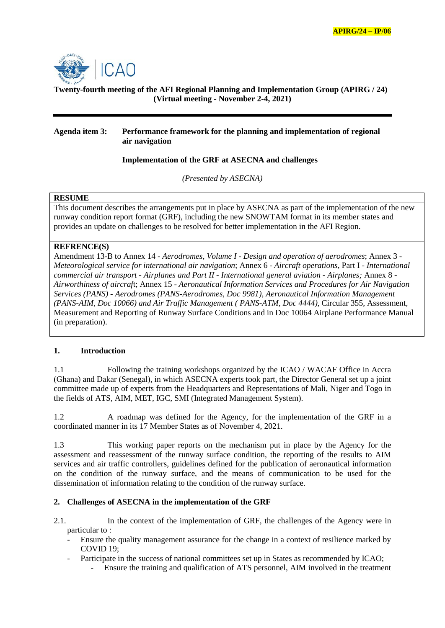

# **Twenty-fourth meeting of the AFI Regional Planning and Implementation Group (APIRG / 24) (Virtual meeting - November 2-4, 2021)**

## **Agenda item 3: Performance framework for the planning and implementation of regional air navigation**

## **Implementation of the GRF at ASECNA and challenges**

*(Presented by ASECNA)*

#### **RESUME**

This document describes the arrangements put in place by ASECNA as part of the implementation of the new runway condition report format (GRF), including the new SNOWTAM format in its member states and provides an update on challenges to be resolved for better implementation in the AFI Region.

## **REFRENCE(S)**

Amendment 13-B to Annex 14 - *Aerodromes, Volume I - Design and operation of aerodromes*; Annex 3 - *Meteorological service for international air navigation*; Annex 6 - *Aircraft operations*, Part I - *International commercial air transport - Airplanes and Part II - International general aviation - Airplanes;* Annex 8 - *Airworthiness of aircraf*t; Annex 15 - *Aeronautical Information Services and Procedures for Air Navigation Services (PANS) - Aerodromes (PANS-Aerodromes, Doc 9981), Aeronautical Information Management (PANS-AIM, Doc 10066) and Air Traffic Management ( PANS-ATM, Doc 4444)*, Circular 355, Assessment, Measurement and Reporting of Runway Surface Conditions and in Doc 10064 Airplane Performance Manual (in preparation).

### **1. Introduction**

1.1 Following the training workshops organized by the ICAO / WACAF Office in Accra (Ghana) and Dakar (Senegal), in which ASECNA experts took part, the Director General set up a joint committee made up of experts from the Headquarters and Representations of Mali, Niger and Togo in the fields of ATS, AIM, MET, IGC, SMI (Integrated Management System).

1.2 A roadmap was defined for the Agency, for the implementation of the GRF in a coordinated manner in its 17 Member States as of November 4, 2021.

1.3 This working paper reports on the mechanism put in place by the Agency for the assessment and reassessment of the runway surface condition, the reporting of the results to AIM services and air traffic controllers, guidelines defined for the publication of aeronautical information on the condition of the runway surface, and the means of communication to be used for the dissemination of information relating to the condition of the runway surface.

### **2. Challenges of ASECNA in the implementation of the GRF**

- 2.1. In the context of the implementation of GRF, the challenges of the Agency were in particular to :
	- Ensure the quality management assurance for the change in a context of resilience marked by COVID 19;
	- Participate in the success of national committees set up in States as recommended by ICAO;
		- Ensure the training and qualification of ATS personnel, AIM involved in the treatment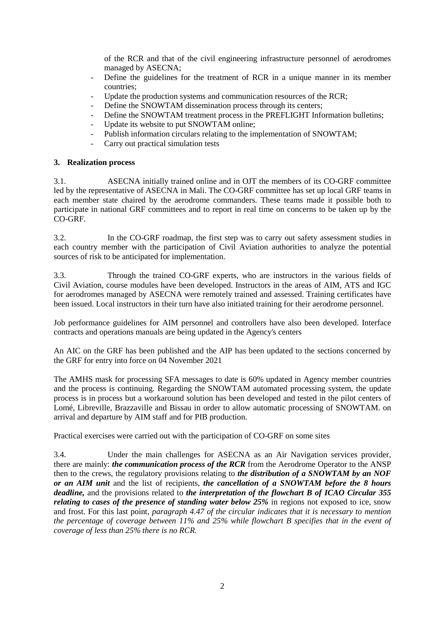of the RCR and that of the civil engineering infrastructure personnel of aerodromes managed by ASECNA;

- Define the guidelines for the treatment of RCR in a unique manner in its member countries;
- Update the production systems and communication resources of the RCR;
- Define the SNOWTAM dissemination process through its centers;
- Define the SNOWTAM treatment process in the PREFLIGHT Information bulletins;
- Update its website to put SNOWTAM online;
- Publish information circulars relating to the implementation of SNOWTAM;
- Carry out practical simulation tests

## **3. Realization process**

3.1. ASECNA initially trained online and in OJT the members of its CO-GRF committee led by the representative of ASECNA in Mali. The CO-GRF committee has set up local GRF teams in each member state chaired by the aerodrome commanders. These teams made it possible both to participate in national GRF committees and to report in real time on concerns to be taken up by the CO-GRF.

3.2. In the CO-GRF roadmap, the first step was to carry out safety assessment studies in each country member with the participation of Civil Aviation authorities to analyze the potential sources of risk to be anticipated for implementation.

3.3. Through the trained CO-GRF experts, who are instructors in the various fields of Civil Aviation, course modules have been developed. Instructors in the areas of AIM, ATS and IGC for aerodromes managed by ASECNA were remotely trained and assessed. Training certificates have been issued. Local instructors in their turn have also initiated training for their aerodrome personnel.

Job performance guidelines for AIM personnel and controllers have also been developed. Interface contracts and operations manuals are being updated in the Agency's centers

An AIC on the GRF has been published and the AIP has been updated to the sections concerned by the GRF for entry into force on 04 November 2021

The AMHS mask for processing SFA messages to date is 60% updated in Agency member countries and the process is continuing. Regarding the SNOWTAM automated processing system, the update process is in process but a workaround solution has been developed and tested in the pilot centers of Lomé, Libreville, Brazzaville and Bissau in order to allow automatic processing of SNOWTAM. on arrival and departure by AIM staff and for PIB production.

Practical exercises were carried out with the participation of CO-GRF on some sites

3.4. Under the main challenges for ASECNA as an Air Navigation services provider, there are mainly: *the communication process of the RCR* from the Aerodrome Operator to the ANSP then to the crews, the regulatory provisions relating to *the distribution of a SNOWTAM by an NOF or an AIM unit* and the list of recipients, *the cancellation of a SNOWTAM before the 8 hours deadline,* and the provisions related to *the interpretation of the flowchart B of ICAO Circular 355 relating to cases of the presence of standing water below 25%* in regions not exposed to ice, snow and frost. For this last point, *paragraph 4.47 of the circular indicates that it is necessary to mention the percentage of coverage between 11% and 25% while flowchart B specifies that in the event of coverage of less than 25% there is no RCR.*